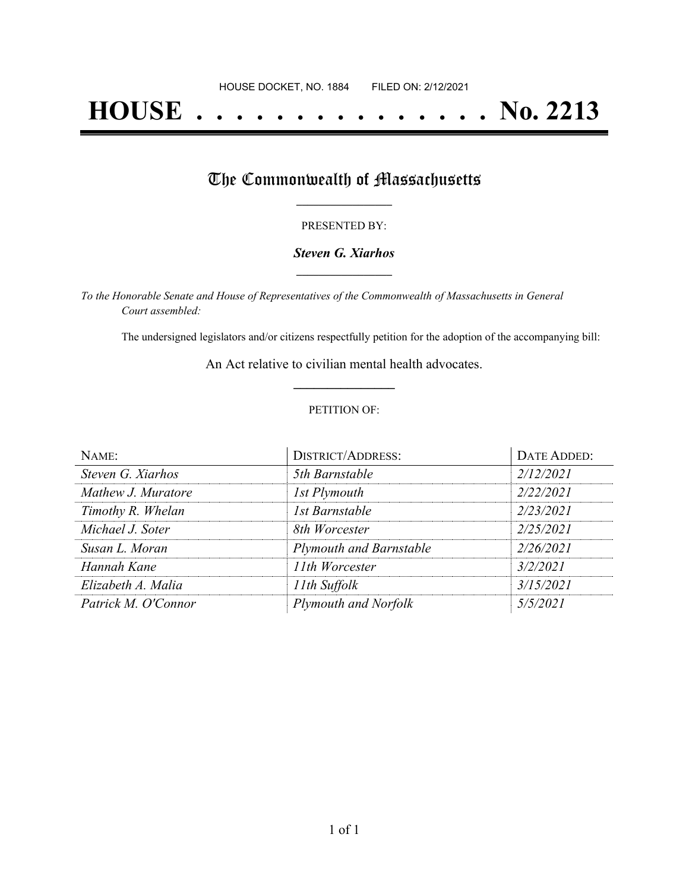# **HOUSE . . . . . . . . . . . . . . . No. 2213**

## The Commonwealth of Massachusetts

#### PRESENTED BY:

#### *Steven G. Xiarhos* **\_\_\_\_\_\_\_\_\_\_\_\_\_\_\_\_\_**

*To the Honorable Senate and House of Representatives of the Commonwealth of Massachusetts in General Court assembled:*

The undersigned legislators and/or citizens respectfully petition for the adoption of the accompanying bill:

An Act relative to civilian mental health advocates. **\_\_\_\_\_\_\_\_\_\_\_\_\_\_\_**

#### PETITION OF:

| NAME:               | <b>DISTRICT/ADDRESS:</b>       | DATE ADDED: |
|---------------------|--------------------------------|-------------|
| Steven G. Xiarhos   | 5th Barnstable                 | 2/12/2021   |
| Mathew J. Muratore  | 1st Plymouth                   | 2/22/2021   |
| Timothy R. Whelan   | 1st Barnstable                 | 2/23/2021   |
| Michael J. Soter    | 8th Worcester                  | 2/25/2021   |
| Susan L. Moran      | <b>Plymouth and Barnstable</b> | 2/26/2021   |
| Hannah Kane         | 11th Worcester                 | 3/2/2021    |
| Elizabeth A. Malia  | 11th Suffolk                   | 3/15/2021   |
| Patrick M. O'Connor | Plymouth and Norfolk           | 5/5/2021    |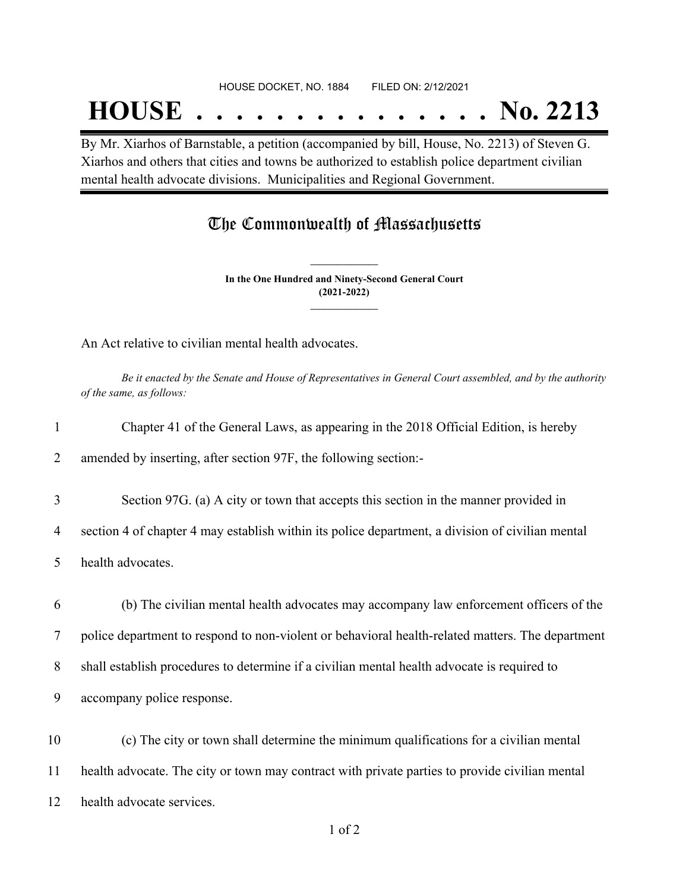## **HOUSE . . . . . . . . . . . . . . . No. 2213**

By Mr. Xiarhos of Barnstable, a petition (accompanied by bill, House, No. 2213) of Steven G. Xiarhos and others that cities and towns be authorized to establish police department civilian mental health advocate divisions. Municipalities and Regional Government.

### The Commonwealth of Massachusetts

**In the One Hundred and Ninety-Second General Court (2021-2022) \_\_\_\_\_\_\_\_\_\_\_\_\_\_\_**

**\_\_\_\_\_\_\_\_\_\_\_\_\_\_\_**

An Act relative to civilian mental health advocates.

Be it enacted by the Senate and House of Representatives in General Court assembled, and by the authority *of the same, as follows:*

| $\mathbf{1}$   | Chapter 41 of the General Laws, as appearing in the 2018 Official Edition, is hereby             |  |
|----------------|--------------------------------------------------------------------------------------------------|--|
| $\overline{2}$ | amended by inserting, after section 97F, the following section:-                                 |  |
| 3              | Section 97G. (a) A city or town that accepts this section in the manner provided in              |  |
| 4              | section 4 of chapter 4 may establish within its police department, a division of civilian mental |  |
| 5              | health advocates.                                                                                |  |
| 6              | (b) The civilian mental health advocates may accompany law enforcement officers of the           |  |
| 7              | police department to respond to non-violent or behavioral health-related matters. The department |  |
| 8              | shall establish procedures to determine if a civilian mental health advocate is required to      |  |
| 9              | accompany police response.                                                                       |  |
| 10             | (c) The city or town shall determine the minimum qualifications for a civilian mental            |  |
| 11             | health advocate. The city or town may contract with private parties to provide civilian mental   |  |
| 12             | health advocate services.                                                                        |  |